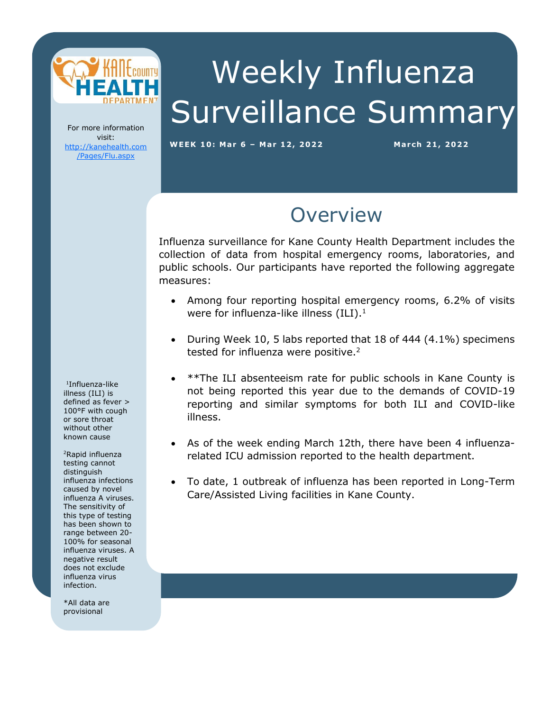

# Weekly Influenza Surveillance Summary

For more information visit: [http://kanehealth.com](http://kanehealth.com/Pages/Flu.aspx) [/Pages/Flu.aspx](http://kanehealth.com/Pages/Flu.aspx)

**WEEK 1 0: Mar 6 – Mar 1 2, 2 0 2 2 March 21, 2 0 22**

data that make this monitoring possible.

#### **Overview**

Influenza surveillance for Kane County Health Department includes the collection of data from hospital emergency rooms, laboratories, and public schools. Our participants have reported the following aggregate measures:

- Among four reporting hospital emergency rooms, 6.2% of visits were for influenza-like illness  $(ILI).<sup>1</sup>$
- During Week 10, 5 labs reported that 18 of 444 (4.1%) specimens tested for influenza were positive.<sup>2</sup>
- \*\*The ILI absenteeism rate for public schools in Kane County is not being reported this year due to the demands of COVID-19 reporting and similar symptoms for both ILI and COVID-like illness.
- As of the week ending March 12th, there have been 4 influenzarelated ICU admission reported to the health department.
- To date, 1 outbreak of influenza has been reported in Long-Term Care/Assisted Living facilities in Kane County.

1 Influenza-like illness (ILI) is defined as fever > 100°F with cough or sore throat without other known cause

<sup>2</sup>Rapid influenza testing cannot distinguish influenza infections caused by novel influenza A viruses. The sensitivity of this type of testing has been shown to range between 20- 100% for seasonal influenza viruses. A negative result does not exclude influenza virus infection.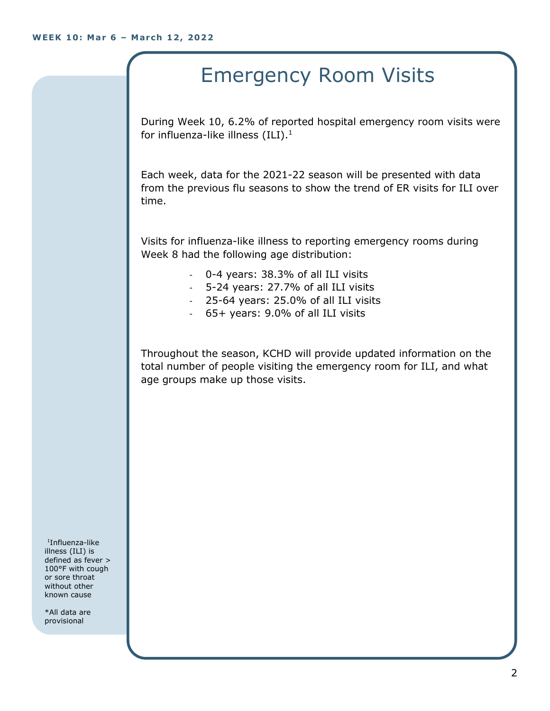## Emergency Room Visits

During Week 10, 6.2% of reported hospital emergency room visits were for influenza-like illness  $(III).<sup>1</sup>$ 

Each week, data for the 2021-22 season will be presented with data from the previous flu seasons to show the trend of ER visits for ILI over time.

Visits for influenza-like illness to reporting emergency rooms during Week 8 had the following age distribution:

- 0-4 years: 38.3% of all ILI visits
- 5-24 years: 27.7% of all ILI visits
- 25-64 years: 25.0% of all ILI visits
- 65+ years: 9.0% of all ILI visits

Throughout the season, KCHD will provide updated information on the total number of people visiting the emergency room for ILI, and what age groups make up those visits.

1 Influenza-like illness (ILI) is defined as fever > 100°F with cough or sore throat without other known cause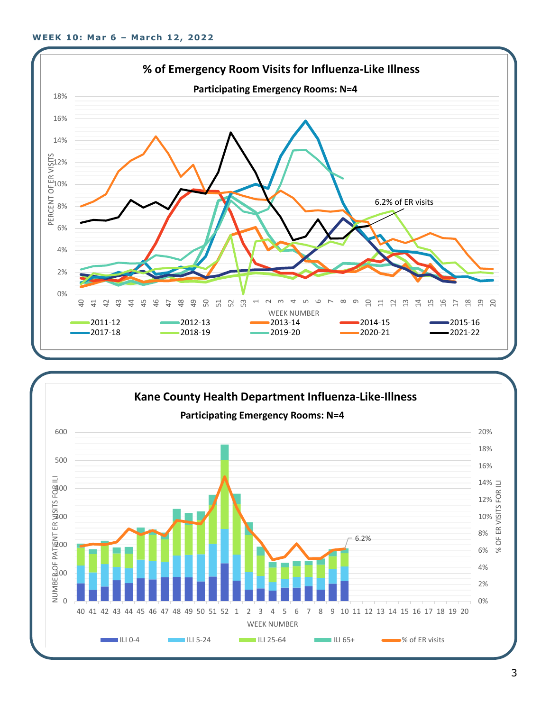

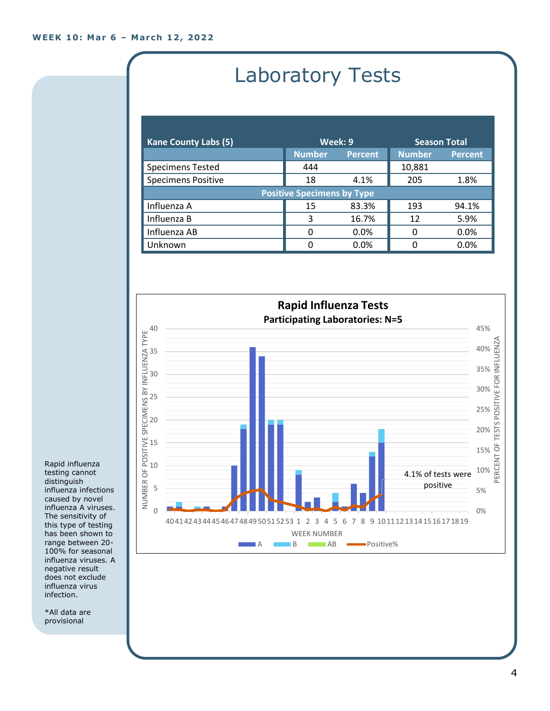### Laboratory Tests

| <b>Kane County Labs (5)</b>       | Week: 9       |                | <b>Season Total</b> |                |
|-----------------------------------|---------------|----------------|---------------------|----------------|
|                                   | <b>Number</b> | <b>Percent</b> | <b>Number</b>       | <b>Percent</b> |
| <b>Specimens Tested</b>           | 444           |                | 10,881              |                |
| <b>Specimens Positive</b>         | 18            | 4.1%           | 205                 | 1.8%           |
| <b>Positive Specimens by Type</b> |               |                |                     |                |
| Influenza A                       | 15            | 83.3%          | 193                 | 94.1%          |
| Influenza B                       | 3             | 16.7%          | 12                  | 5.9%           |
| Influenza AB                      | 0             | 0.0%           | O                   | 0.0%           |
| Unknown                           | 0             | $0.0\%$        | n                   | 0.0%           |



Rapid influenza testing cannot distinguish influenza infections caused by novel influenza A viruses. The sensitivity of this type of testing has been shown to range between 20- 100% for seasonal influenza viruses. A negative result does not exclude influenza virus infection.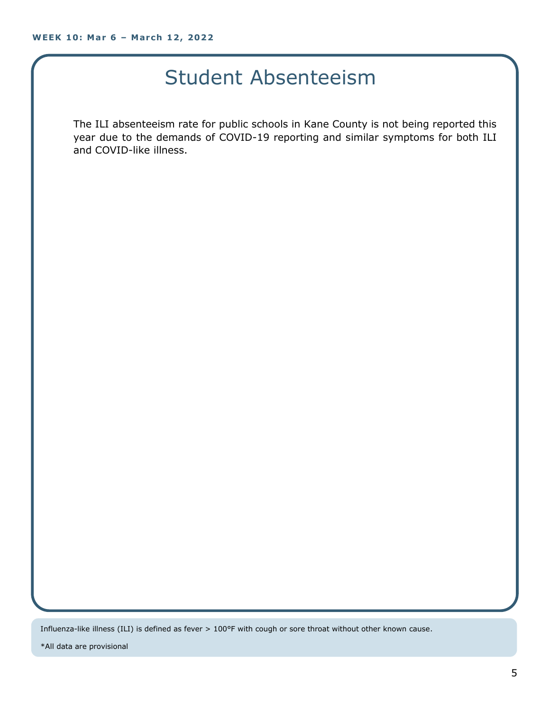#### Student Absenteeism

The ILI absenteeism rate for public schools in Kane County is not being reported this year due to the demands of COVID-19 reporting and similar symptoms for both ILI and COVID-like illness.

Influenza-like illness (ILI) is defined as fever > 100°F with cough or sore throat without other known cause.